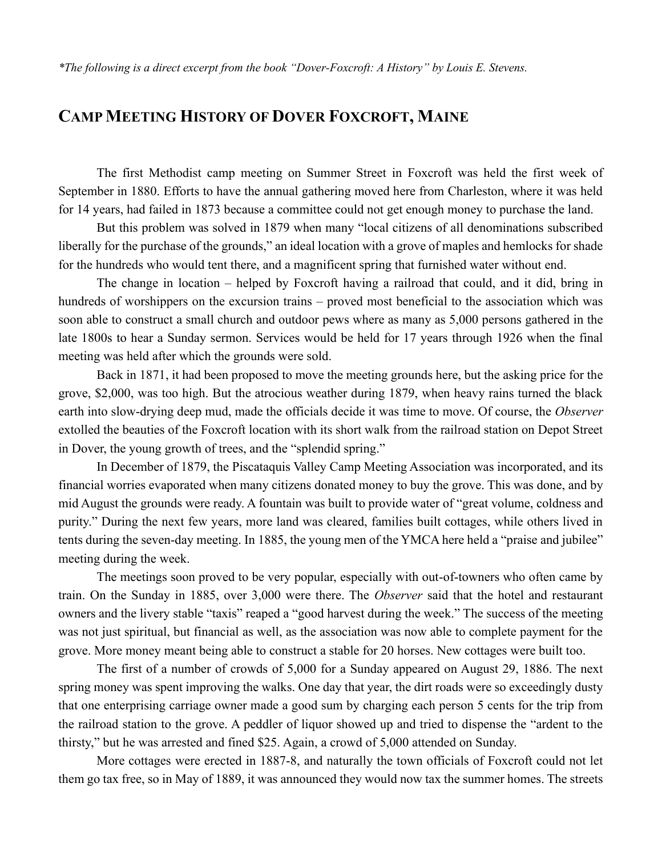## **CAMP MEETING HISTORY OF DOVER FOXCROFT, MAINE**

The first Methodist camp meeting on Summer Street in Foxcroft was held the first week of September in 1880. Efforts to have the annual gathering moved here from Charleston, where it was held for 14 years, had failed in 1873 because a committee could not get enough money to purchase the land.

But this problem was solved in 1879 when many "local citizens of all denominations subscribed liberally for the purchase of the grounds," an ideal location with a grove of maples and hemlocks for shade for the hundreds who would tent there, and a magnificent spring that furnished water without end.

The change in location – helped by Foxcroft having a railroad that could, and it did, bring in hundreds of worshippers on the excursion trains – proved most beneficial to the association which was soon able to construct a small church and outdoor pews where as many as 5,000 persons gathered in the late 1800s to hear a Sunday sermon. Services would be held for 17 years through 1926 when the final meeting was held after which the grounds were sold.

Back in 1871, it had been proposed to move the meeting grounds here, but the asking price for the grove, \$2,000, was too high. But the atrocious weather during 1879, when heavy rains turned the black earth into slow-drying deep mud, made the officials decide it was time to move. Of course, the *Observer* extolled the beauties of the Foxcroft location with its short walk from the railroad station on Depot Street in Dover, the young growth of trees, and the "splendid spring."

In December of 1879, the Piscataquis Valley Camp Meeting Association was incorporated, and its financial worries evaporated when many citizens donated money to buy the grove. This was done, and by mid August the grounds were ready. A fountain was built to provide water of "great volume, coldness and purity." During the next few years, more land was cleared, families built cottages, while others lived in tents during the seven-day meeting. In 1885, the young men of the YMCA here held a "praise and jubilee" meeting during the week.

The meetings soon proved to be very popular, especially with out-of-towners who often came by train. On the Sunday in 1885, over 3,000 were there. The *Observer* said that the hotel and restaurant owners and the livery stable "taxis" reaped a "good harvest during the week." The success of the meeting was not just spiritual, but financial as well, as the association was now able to complete payment for the grove. More money meant being able to construct a stable for 20 horses. New cottages were built too.

The first of a number of crowds of 5,000 for a Sunday appeared on August 29, 1886. The next spring money was spent improving the walks. One day that year, the dirt roads were so exceedingly dusty that one enterprising carriage owner made a good sum by charging each person 5 cents for the trip from the railroad station to the grove. A peddler of liquor showed up and tried to dispense the "ardent to the thirsty," but he was arrested and fined \$25. Again, a crowd of 5,000 attended on Sunday.

More cottages were erected in 1887-8, and naturally the town officials of Foxcroft could not let them go tax free, so in May of 1889, it was announced they would now tax the summer homes. The streets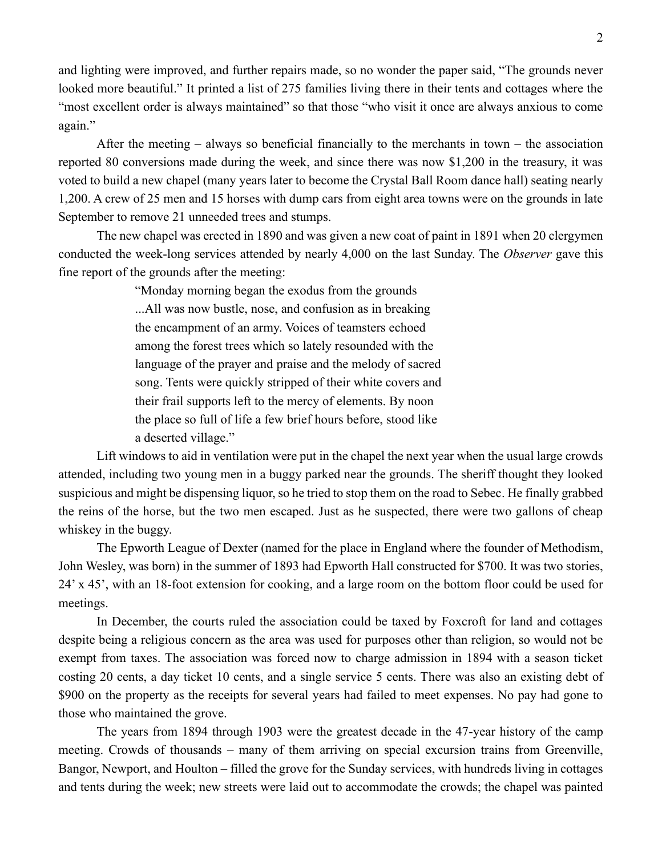and lighting were improved, and further repairs made, so no wonder the paper said, "The grounds never looked more beautiful." It printed a list of 275 families living there in their tents and cottages where the "most excellent order is always maintained" so that those "who visit it once are always anxious to come again."

After the meeting – always so beneficial financially to the merchants in town – the association reported 80 conversions made during the week, and since there was now \$1,200 in the treasury, it was voted to build a new chapel (many years later to become the Crystal Ball Room dance hall) seating nearly 1,200. A crew of 25 men and 15 horses with dump cars from eight area towns were on the grounds in late September to remove 21 unneeded trees and stumps.

The new chapel was erected in 1890 and was given a new coat of paint in 1891 when 20 clergymen conducted the week-long services attended by nearly 4,000 on the last Sunday. The *Observer* gave this fine report of the grounds after the meeting:

> "Monday morning began the exodus from the grounds ...All was now bustle, nose, and confusion as in breaking the encampment of an army. Voices of teamsters echoed among the forest trees which so lately resounded with the language of the prayer and praise and the melody of sacred song. Tents were quickly stripped of their white covers and their frail supports left to the mercy of elements. By noon the place so full of life a few brief hours before, stood like a deserted village."

Lift windows to aid in ventilation were put in the chapel the next year when the usual large crowds attended, including two young men in a buggy parked near the grounds. The sheriff thought they looked suspicious and might be dispensing liquor, so he tried to stop them on the road to Sebec. He finally grabbed the reins of the horse, but the two men escaped. Just as he suspected, there were two gallons of cheap whiskey in the buggy.

The Epworth League of Dexter (named for the place in England where the founder of Methodism, John Wesley, was born) in the summer of 1893 had Epworth Hall constructed for \$700. It was two stories, 24' x 45', with an 18-foot extension for cooking, and a large room on the bottom floor could be used for meetings.

In December, the courts ruled the association could be taxed by Foxcroft for land and cottages despite being a religious concern as the area was used for purposes other than religion, so would not be exempt from taxes. The association was forced now to charge admission in 1894 with a season ticket costing 20 cents, a day ticket 10 cents, and a single service 5 cents. There was also an existing debt of \$900 on the property as the receipts for several years had failed to meet expenses. No pay had gone to those who maintained the grove.

The years from 1894 through 1903 were the greatest decade in the 47-year history of the camp meeting. Crowds of thousands – many of them arriving on special excursion trains from Greenville, Bangor, Newport, and Houlton – filled the grove for the Sunday services, with hundreds living in cottages and tents during the week; new streets were laid out to accommodate the crowds; the chapel was painted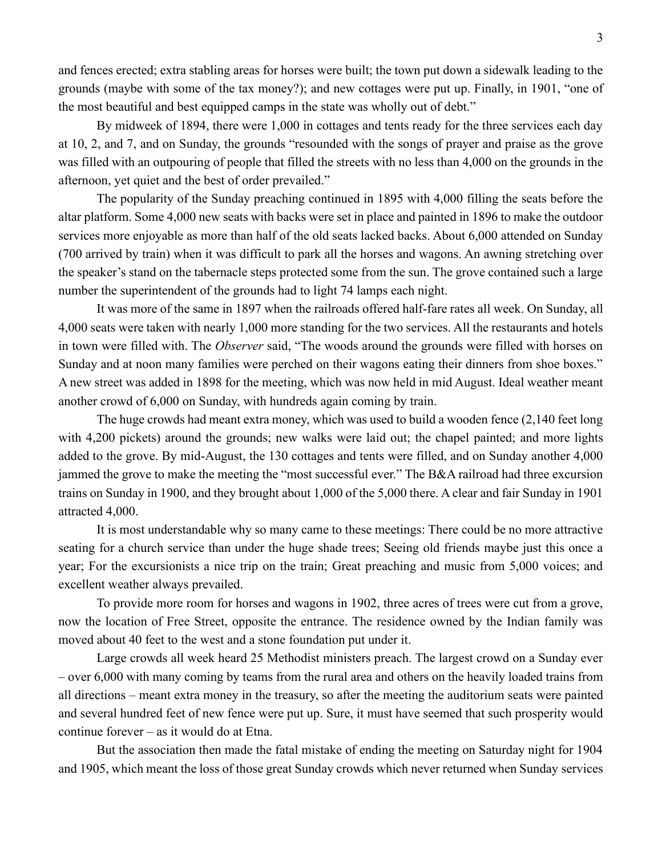and fences erected; extra stabling areas for horses were built; the town put down a sidewalk leading to the grounds (maybe with some of the tax money?); and new cottages were put up. Finally, in 1901, "one of the most beautiful and best equipped camps in the state was wholly out of debt."

By midweek of 1894, there were 1,000 in cottages and tents ready for the three services each day at 10, 2, and 7, and on Sunday, the grounds "resounded with the songs of prayer and praise as the grove was filled with an outpouring of people that filled the streets with no less than 4,000 on the grounds in the afternoon, yet quiet and the best of order prevailed."

The popularity of the Sunday preaching continued in 1895 with 4,000 filling the seats before the altar platform. Some 4,000 new seats with backs were set in place and painted in 1896 to make the outdoor services more enjoyable as more than half of the old seats lacked backs. About 6,000 attended on Sunday (700 arrived by train) when it was difficult to park all the horses and wagons. An awning stretching over the speaker's stand on the tabernacle steps protected some from the sun. The grove contained such a large number the superintendent of the grounds had to light 74 lamps each night.

It was more of the same in 1897 when the railroads offered half-fare rates all week. On Sunday, all 4,000 seats were taken with nearly 1,000 more standing for the two services. All the restaurants and hotels in town were filled with. The *Observer* said, "The woods around the grounds were filled with horses on Sunday and at noon many families were perched on their wagons eating their dinners from shoe boxes." A new street was added in 1898 for the meeting, which was now held in mid August. Ideal weather meant another crowd of 6,000 on Sunday, with hundreds again coming by train.

The huge crowds had meant extra money, which was used to build a wooden fence (2,140 feet long with 4,200 pickets) around the grounds; new walks were laid out; the chapel painted; and more lights added to the grove. By mid-August, the 130 cottages and tents were filled, and on Sunday another 4,000 jammed the grove to make the meeting the "most successful ever." The B&A railroad had three excursion trains on Sunday in 1900, and they brought about 1,000 of the 5,000 there. A clear and fair Sunday in 1901 attracted 4,000.

It is most understandable why so many came to these meetings: There could be no more attractive seating for a church service than under the huge shade trees; Seeing old friends maybe just this once a year; For the excursionists a nice trip on the train; Great preaching and music from 5,000 voices; and excellent weather always prevailed.

To provide more room for horses and wagons in 1902, three acres of trees were cut from a grove, now the location of Free Street, opposite the entrance. The residence owned by the Indian family was moved about 40 feet to the west and a stone foundation put under it.

Large crowds all week heard 25 Methodist ministers preach. The largest crowd on a Sunday ever – over 6,000 with many coming by teams from the rural area and others on the heavily loaded trains from all directions – meant extra money in the treasury, so after the meeting the auditorium seats were painted and several hundred feet of new fence were put up. Sure, it must have seemed that such prosperity would continue forever – as it would do at Etna.

But the association then made the fatal mistake of ending the meeting on Saturday night for 1904 and 1905, which meant the loss of those great Sunday crowds which never returned when Sunday services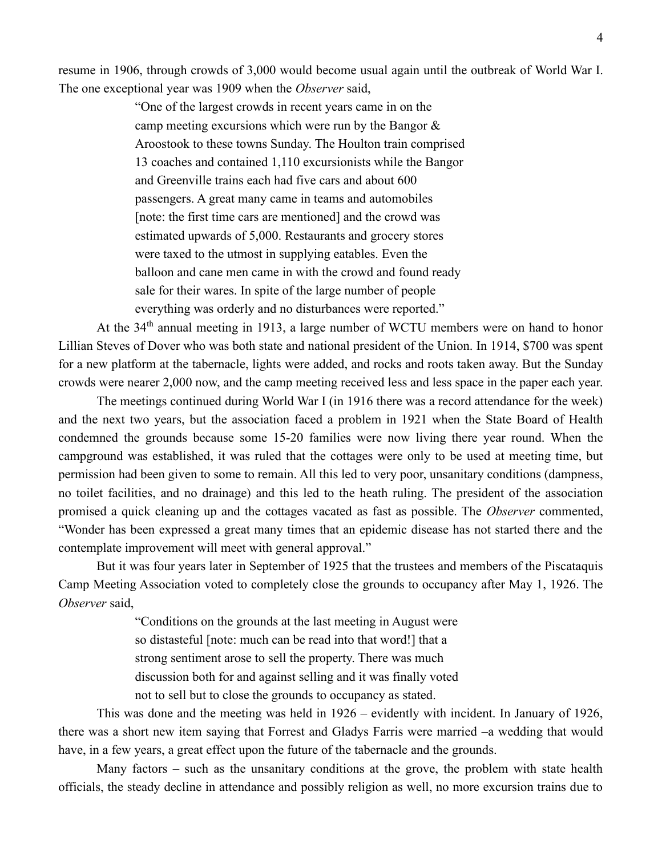resume in 1906, through crowds of 3,000 would become usual again until the outbreak of World War I. The one exceptional year was 1909 when the *Observer* said,

> "One of the largest crowds in recent years came in on the camp meeting excursions which were run by the Bangor & Aroostook to these towns Sunday. The Houlton train comprised 13 coaches and contained 1,110 excursionists while the Bangor and Greenville trains each had five cars and about 600 passengers. A great many came in teams and automobiles [note: the first time cars are mentioned] and the crowd was estimated upwards of 5,000. Restaurants and grocery stores were taxed to the utmost in supplying eatables. Even the balloon and cane men came in with the crowd and found ready sale for their wares. In spite of the large number of people everything was orderly and no disturbances were reported."

At the 34th annual meeting in 1913, a large number of WCTU members were on hand to honor Lillian Steves of Dover who was both state and national president of the Union. In 1914, \$700 was spent for a new platform at the tabernacle, lights were added, and rocks and roots taken away. But the Sunday crowds were nearer 2,000 now, and the camp meeting received less and less space in the paper each year.

The meetings continued during World War I (in 1916 there was a record attendance for the week) and the next two years, but the association faced a problem in 1921 when the State Board of Health condemned the grounds because some 15-20 families were now living there year round. When the campground was established, it was ruled that the cottages were only to be used at meeting time, but permission had been given to some to remain. All this led to very poor, unsanitary conditions (dampness, no toilet facilities, and no drainage) and this led to the heath ruling. The president of the association promised a quick cleaning up and the cottages vacated as fast as possible. The *Observer* commented, "Wonder has been expressed a great many times that an epidemic disease has not started there and the contemplate improvement will meet with general approval."

But it was four years later in September of 1925 that the trustees and members of the Piscataquis Camp Meeting Association voted to completely close the grounds to occupancy after May 1, 1926. The *Observer* said,

> "Conditions on the grounds at the last meeting in August were so distasteful [note: much can be read into that word!] that a strong sentiment arose to sell the property. There was much discussion both for and against selling and it was finally voted not to sell but to close the grounds to occupancy as stated.

This was done and the meeting was held in 1926 – evidently with incident. In January of 1926, there was a short new item saying that Forrest and Gladys Farris were married –a wedding that would have, in a few years, a great effect upon the future of the tabernacle and the grounds.

Many factors – such as the unsanitary conditions at the grove, the problem with state health officials, the steady decline in attendance and possibly religion as well, no more excursion trains due to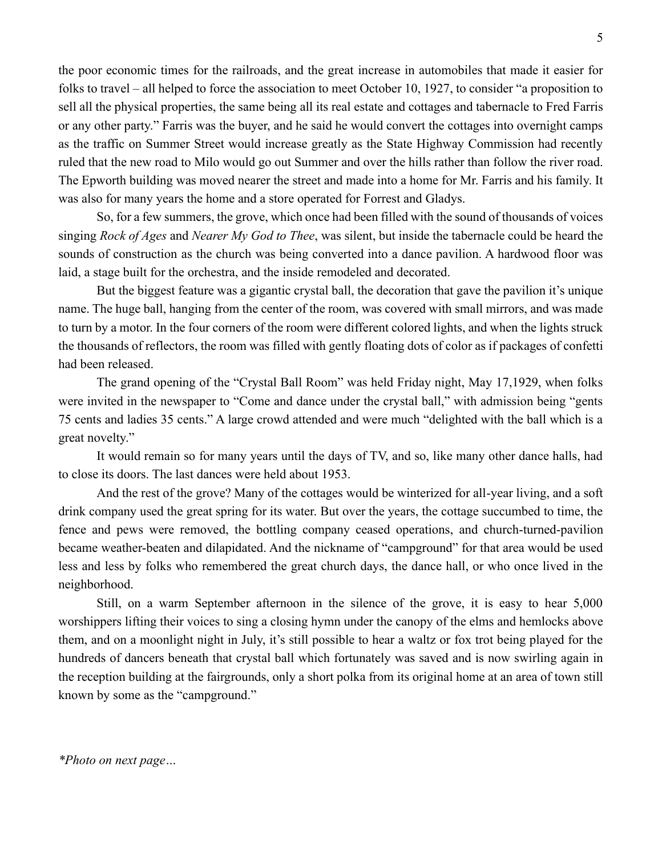the poor economic times for the railroads, and the great increase in automobiles that made it easier for folks to travel – all helped to force the association to meet October 10, 1927, to consider "a proposition to sell all the physical properties, the same being all its real estate and cottages and tabernacle to Fred Farris or any other party." Farris was the buyer, and he said he would convert the cottages into overnight camps as the traffic on Summer Street would increase greatly as the State Highway Commission had recently ruled that the new road to Milo would go out Summer and over the hills rather than follow the river road. The Epworth building was moved nearer the street and made into a home for Mr. Farris and his family. It was also for many years the home and a store operated for Forrest and Gladys.

So, for a few summers, the grove, which once had been filled with the sound of thousands of voices singing *Rock of Ages* and *Nearer My God to Thee*, was silent, but inside the tabernacle could be heard the sounds of construction as the church was being converted into a dance pavilion. A hardwood floor was laid, a stage built for the orchestra, and the inside remodeled and decorated.

But the biggest feature was a gigantic crystal ball, the decoration that gave the pavilion it's unique name. The huge ball, hanging from the center of the room, was covered with small mirrors, and was made to turn by a motor. In the four corners of the room were different colored lights, and when the lights struck the thousands of reflectors, the room was filled with gently floating dots of color as if packages of confetti had been released.

The grand opening of the "Crystal Ball Room" was held Friday night, May 17,1929, when folks were invited in the newspaper to "Come and dance under the crystal ball," with admission being "gents 75 cents and ladies 35 cents." A large crowd attended and were much "delighted with the ball which is a great novelty."

It would remain so for many years until the days of TV, and so, like many other dance halls, had to close its doors. The last dances were held about 1953.

And the rest of the grove? Many of the cottages would be winterized for all-year living, and a soft drink company used the great spring for its water. But over the years, the cottage succumbed to time, the fence and pews were removed, the bottling company ceased operations, and church-turned-pavilion became weather-beaten and dilapidated. And the nickname of "campground" for that area would be used less and less by folks who remembered the great church days, the dance hall, or who once lived in the neighborhood.

Still, on a warm September afternoon in the silence of the grove, it is easy to hear 5,000 worshippers lifting their voices to sing a closing hymn under the canopy of the elms and hemlocks above them, and on a moonlight night in July, it's still possible to hear a waltz or fox trot being played for the hundreds of dancers beneath that crystal ball which fortunately was saved and is now swirling again in the reception building at the fairgrounds, only a short polka from its original home at an area of town still known by some as the "campground."